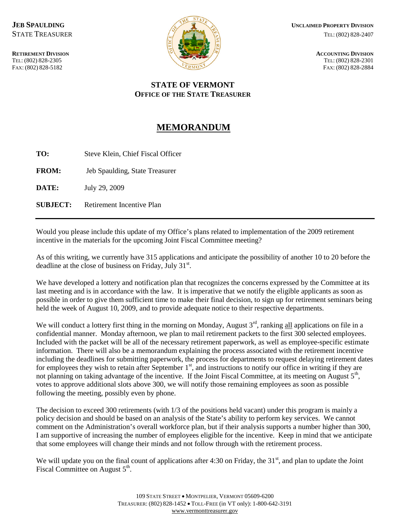

## **STATE OF VERMONT OFFICE OF THE STATE TREASURER**

## **MEMORANDUM**

**TO:** Steve Klein, Chief Fiscal Officer

**FROM:** Jeb Spaulding, State Treasurer

**DATE:** July 29, 2009

**SUBJECT:** Retirement Incentive Plan

Would you please include this update of my Office's plans related to implementation of the 2009 retirement incentive in the materials for the upcoming Joint Fiscal Committee meeting?

As of this writing, we currently have 315 applications and anticipate the possibility of another 10 to 20 before the deadline at the close of business on Friday, July  $31<sup>st</sup>$ .

We have developed a lottery and notification plan that recognizes the concerns expressed by the Committee at its last meeting and is in accordance with the law. It is imperative that we notify the eligible applicants as soon as possible in order to give them sufficient time to make their final decision, to sign up for retirement seminars being held the week of August 10, 2009, and to provide adequate notice to their respective departments.

We will conduct a lottery first thing in the morning on Monday, August  $3<sup>rd</sup>$ , ranking all applications on file in a confidential manner. Monday afternoon, we plan to mail retirement packets to the first 300 selected employees. Included with the packet will be all of the necessary retirement paperwork, as well as employee-specific estimate information. There will also be a memorandum explaining the process associated with the retirement incentive including the deadlines for submitting paperwork, the process for departments to request delaying retirement dates for employees they wish to retain after September 1<sup>st</sup>, and instructions to notify our office in writing if they are not planning on taking advantage of the incentive. If the Joint Fiscal Committee, at its meeting on August  $5<sup>th</sup>$ , votes to approve additional slots above 300, we will notify those remaining employees as soon as possible following the meeting, possibly even by phone.

The decision to exceed 300 retirements (with 1/3 of the positions held vacant) under this program is mainly a policy decision and should be based on an analysis of the State's ability to perform key services. We cannot comment on the Administration's overall workforce plan, but if their analysis supports a number higher than 300, I am supportive of increasing the number of employees eligible for the incentive. Keep in mind that we anticipate that some employees will change their minds and not follow through with the retirement process.

We will update you on the final count of applications after 4:30 on Friday, the  $31<sup>st</sup>$ , and plan to update the Joint Fiscal Committee on August  $5<sup>th</sup>$ .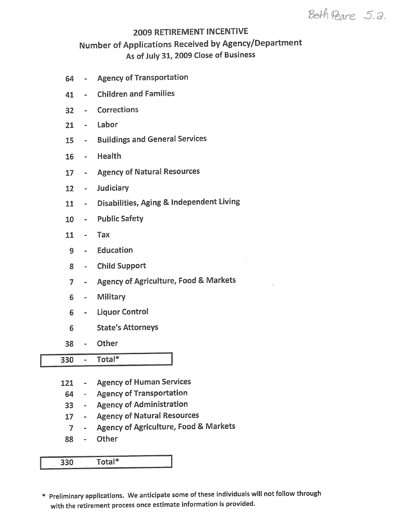Beth Peare 5.2.

## **2009 RETIREMENT INCENTIVE**

## Number of Applications Received by Agency/Department As of July 31, 2009 Close of Business

- **Agency of Transportation** 64  $\overline{\mathbf{m}}$
- **Children and Families** 41  $\mathbf{m}$
- Corrections  $32<sub>2</sub>$  $\sim$
- Labor  $21$
- **Buildings and General Services** 15  $\omega$  .
- Health  $16$
- **Agency of Natural Resources** 17  $\frac{1}{2}$  and  $\frac{1}{2}$
- $\sim$ Judiciary  $12<sup>7</sup>$
- Disabilities, Aging & Independent Living  $11$  $\omega_{\rm{max}}$
- Public Safety  $10<sup>-10</sup>$
- $\sim$   $\sim$ Tax  $11$
- Education 9  $\frac{1}{2}$
- **Child Support** 8  $\sim$
- Agency of Agriculture, Food & Markets  $\overline{7}$
- 6 Military  $\Delta \sim 10^4$
- **Liquor Control** 6  $\frac{1}{2}$
- **State's Attorneys** 6
- Other 38  $\omega$  .

 $\overline{\text{Total}}^*$ 330  $\mathbf{e}$ 

- **Agency of Human Services** 121  $\sim 10^{11}$
- **Agency of Transportation** 64  $\mathcal{L}_{\text{max}}$
- Agency of Administration  $33<sup>2</sup>$
- **Agency of Natural Resources**  $17<sup>1</sup>$  $\sim$
- Agency of Agriculture, Food & Markets  $\overline{7}$  $\sim$
- Other 88  $\overline{\phantom{a}}$

Total\* 330

\* Preliminary applications. We anticipate some of these individuals will not follow through with the retirement process once estimate information is provided.